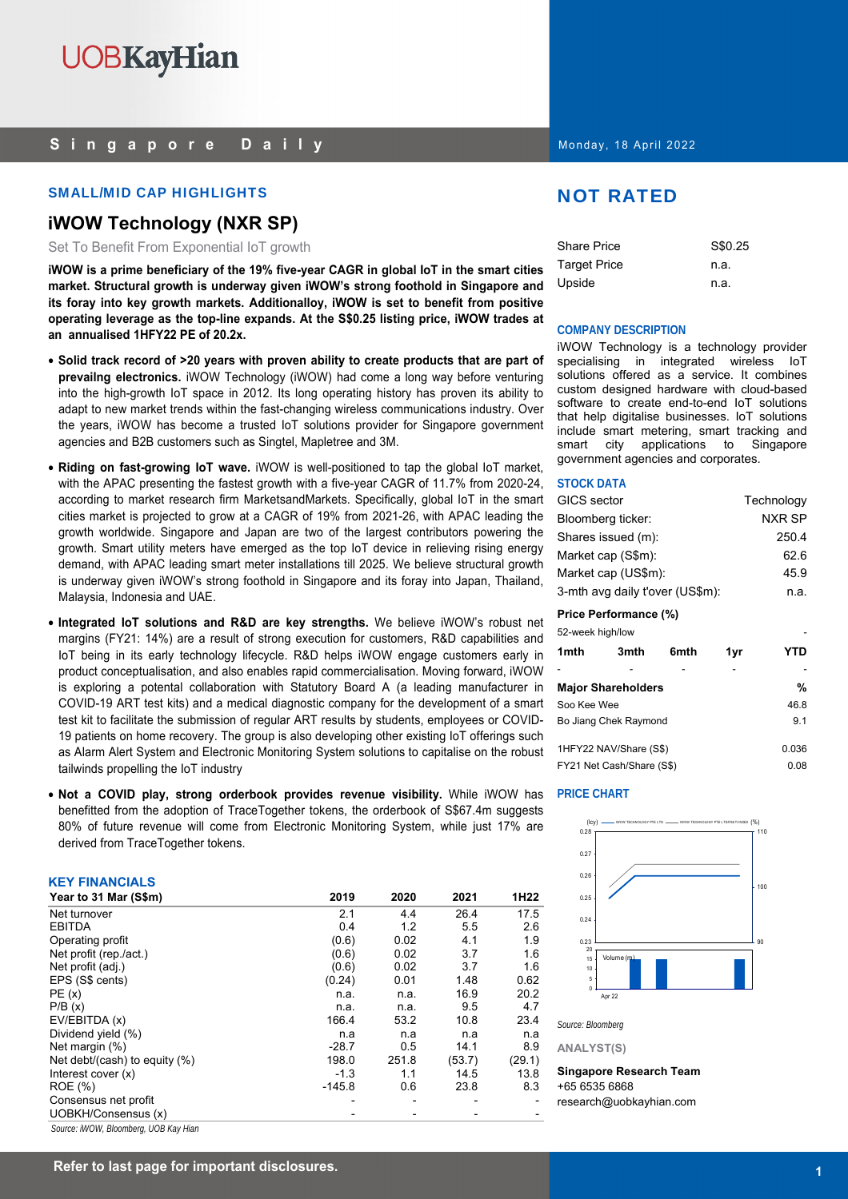## **Singapore Daily**

## SMALL/MID CAP HIGHLIGHTS NOT RATED

## **iWOW Technology (NXR SP)**

Set To Benefit From Exponential IoT growth

**iWOW is a prime beneficiary of the 19% five-year CAGR in global IoT in the smart cities market. Structural growth is underway given iWOW's strong foothold in Singapore and its foray into key growth markets. Additionalloy, iWOW is set to benefit from positive operating leverage as the top-line expands. At the S\$0.25 listing price, iWOW trades at an annualised 1HFY22 PE of 20.2x.** 

- **Solid track record of >20 years with proven ability to create products that are part of prevailng electronics.** iWOW Technology (iWOW) had come a long way before venturing into the high-growth IoT space in 2012. Its long operating history has proven its ability to adapt to new market trends within the fast-changing wireless communications industry. Over the years, iWOW has become a trusted IoT solutions provider for Singapore government agencies and B2B customers such as Singtel, Mapletree and 3M.
- **Riding on fast-growing IoT wave.** iWOW is well-positioned to tap the global IoT market, with the APAC presenting the fastest growth with a five-year CAGR of 11.7% from 2020-24, according to market research firm MarketsandMarkets. Specifically, global IoT in the smart cities market is projected to grow at a CAGR of 19% from 2021-26, with APAC leading the growth worldwide. Singapore and Japan are two of the largest contributors powering the growth. Smart utility meters have emerged as the top IoT device in relieving rising energy demand, with APAC leading smart meter installations till 2025. We believe structural growth is underway given iWOW's strong foothold in Singapore and its foray into Japan, Thailand, Malaysia, Indonesia and UAE.
- **Integrated IoT solutions and R&D are key strengths.** We believe iWOW's robust net margins (FY21: 14%) are a result of strong execution for customers, R&D capabilities and IoT being in its early technology lifecycle. R&D helps iWOW engage customers early in product conceptualisation, and also enables rapid commercialisation. Moving forward, iWOW is exploring a potental collaboration with Statutory Board A (a leading manufacturer in COVID-19 ART test kits) and a medical diagnostic company for the development of a smart test kit to facilitate the submission of regular ART results by students, employees or COVID-19 patients on home recovery. The group is also developing other existing IoT offerings such as Alarm Alert System and Electronic Monitoring System solutions to capitalise on the robust tailwinds propelling the IoT industry
- **Not a COVID play, strong orderbook provides revenue visibility.** While iWOW has benefitted from the adoption of TraceTogether tokens, the orderbook of S\$67.4m suggests 80% of future revenue will come from Electronic Monitoring System, while just 17% are derived from TraceTogether tokens.

## **KEY FINANCIALS**

| .                                                        |          |       |        |                  |
|----------------------------------------------------------|----------|-------|--------|------------------|
| Year to 31 Mar (S\$m)                                    | 2019     | 2020  | 2021   | 1H <sub>22</sub> |
| Net turnover                                             | 2.1      | 4.4   | 26.4   | 17.5             |
| <b>EBITDA</b>                                            | 0.4      | 1.2   | 5.5    | 2.6              |
| Operating profit                                         | (0.6)    | 0.02  | 4.1    | 1.9              |
| Net profit (rep./act.)                                   | (0.6)    | 0.02  | 3.7    | 1.6              |
| Net profit (adj.)                                        | (0.6)    | 0.02  | 3.7    | 1.6              |
| EPS (S\$ cents)                                          | (0.24)   | 0.01  | 1.48   | 0.62             |
| PE(x)                                                    | n.a.     | n.a.  | 16.9   | 20.2             |
| P/B(x)                                                   | n.a.     | n.a.  | 9.5    | 4.7              |
| EV/EBITDA (x)                                            | 166.4    | 53.2  | 10.8   | 23.4             |
| Dividend yield (%)                                       | n.a      | n.a   | n.a    | n.a              |
| Net margin (%)                                           | $-28.7$  | 0.5   | 14.1   | 8.9              |
| Net debt/(cash) to equity (%)                            | 198.0    | 251.8 | (53.7) | (29.1)           |
| Interest cover $(x)$                                     | $-1.3$   | 1.1   | 14.5   | 13.8             |
| <b>ROE</b> (%)                                           | $-145.8$ | 0.6   | 23.8   | 8.3              |
| Consensus net profit                                     |          |       |        |                  |
| UOBKH/Consensus (x)                                      |          |       |        |                  |
| $\left\lfloor \frac{n+1}{n+1} \right\rfloor$<br>$\cdots$ |          |       |        |                  |

*Source: iWOW, Bloomberg, UOB Kay Hian* 

Monday, 18 April 2022

| <b>Share Price</b>  | S\$0.25 |
|---------------------|---------|
| <b>Target Price</b> | n.a.    |
| Upside              | n.a.    |

## **COMPANY DESCRIPTION**

iWOW Technology is a technology provider specialising in integrated wireless IoT solutions offered as a service. It combines custom designed hardware with cloud-based software to create end-to-end IoT solutions that help digitalise businesses. IoT solutions include smart metering, smart tracking and smart city applications to Singapore government agencies and corporates.

## **STOCK DATA**

| <b>GICS</b> sector              | Technology |
|---------------------------------|------------|
| Bloomberg ticker:               | NXR SP     |
| Shares issued (m):              | 250.4      |
| Market cap (S\$m):              | 62.6       |
| Market cap (US\$m):             | 45.9       |
| 3-mth avg daily t'over (US\$m): | n.a.       |
|                                 |            |

## **Price Performance (%)**

| 52-week high/low |                           |      |     |       |
|------------------|---------------------------|------|-----|-------|
| 1mth             | 3mth                      | 6mth | 1yr | YTD   |
|                  |                           |      |     |       |
|                  | <b>Major Shareholders</b> |      |     | %     |
| Soo Kee Wee      |                           |      |     | 46.8  |
|                  | Bo Jiang Chek Raymond     |      |     | 9.1   |
|                  | 1HFY22 NAV/Share (S\$)    |      |     | 0.036 |
|                  | FY21 Net Cash/Share (S\$) |      |     | 0.08  |

## **PRICE CHART**



*Source: Bloomberg* 

**ANALYST(S)** 

**Singapore Research Team**  +65 6535 6868 research@uobkayhian.com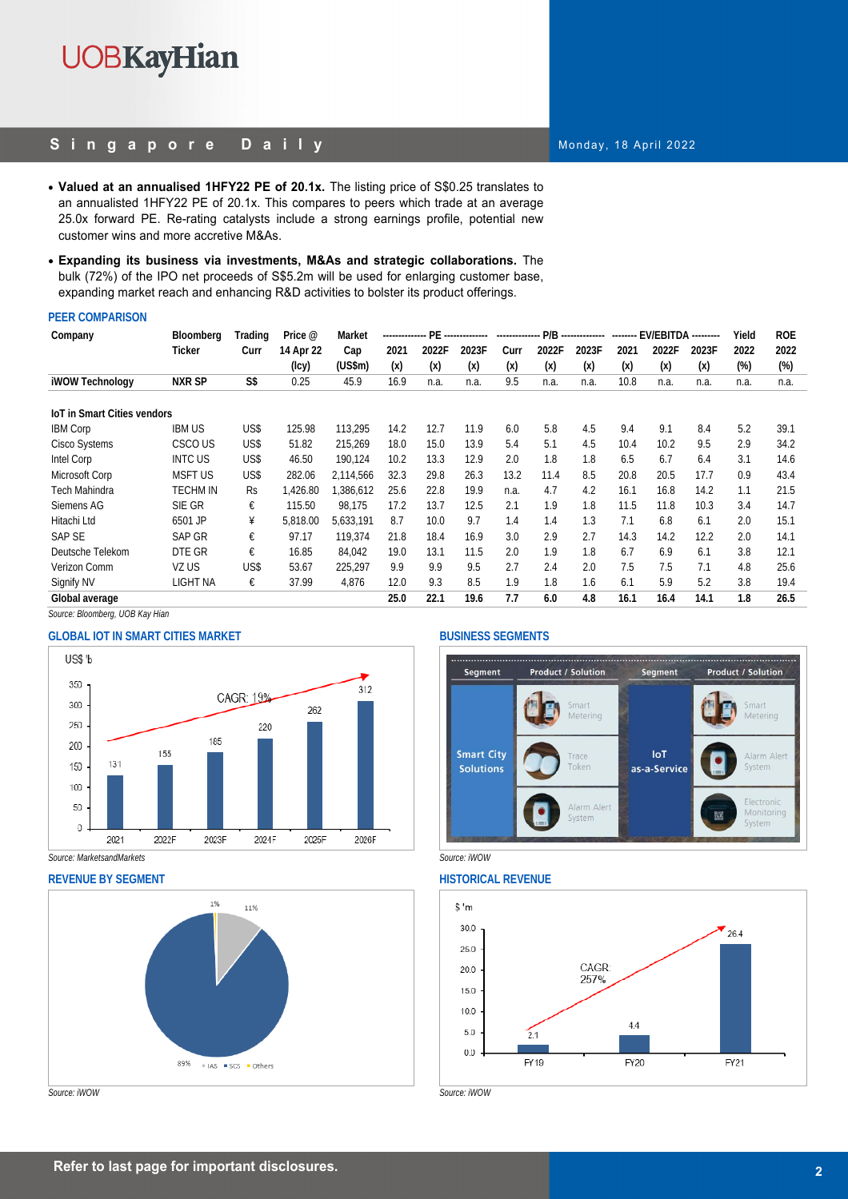## **Singapore Daily**

- **Valued at an annualised 1HFY22 PE of 20.1x.** The listing price of S\$0.25 translates to an annualisted 1HFY22 PE of 20.1x. This compares to peers which trade at an average 25.0x forward PE. Re-rating catalysts include a strong earnings profile, potential new customer wins and more accretive M&As.
- **Expanding its business via investments, M&As and strategic collaborations.** The bulk (72%) of the IPO net proceeds of S\$5.2m will be used for enlarging customer base, expanding market reach and enhancing R&D activities to bolster its product offerings.

## **PEER COMPARISON**

| Company                            | Bloomberg      | Trading | Price @   | Market    | --------------- PE |       |       | -------------- |       | P/B -------------- | -------- | <b>EV/EBITDA ---------</b> |       | Yield  | <b>ROE</b> |
|------------------------------------|----------------|---------|-----------|-----------|--------------------|-------|-------|----------------|-------|--------------------|----------|----------------------------|-------|--------|------------|
|                                    | Ticker         | Curr    | 14 Apr 22 | Cap       | 2021               | 2022F | 2023F | Curr           | 2022F | 2023F              | 2021     | 2022F                      | 2023F | 2022   | 2022       |
|                                    |                |         | (Icy)     | (US\$m)   | (x)                | (x)   | (x)   | (x)            | (x)   | (x)                | (x)      | (x)                        | (x)   | $(\%)$ | $(\%)$     |
| <b>iWOW Technology</b>             | <b>NXR SP</b>  | S\$     | 0.25      | 45.9      | 16.9               | n.a.  | n.a.  | 9.5            | n.a.  | n.a.               | 10.8     | n.a.                       | n.a.  | n.a.   | n.a.       |
| <b>IoT in Smart Cities vendors</b> |                |         |           |           |                    |       |       |                |       |                    |          |                            |       |        |            |
| <b>IBM Corp</b>                    | <b>IBM US</b>  | US\$    | 125.98    | 113.295   | 14.2               | 12.7  | 11.9  | 6.0            | 5.8   | 4.5                | 9.4      | 9.1                        | 8.4   | 5.2    | 39.1       |
| <b>Cisco Systems</b>               | CSCO US        | US\$    | 51.82     | 215.269   | 18.0               | 15.0  | 13.9  | 5.4            | 5.1   | 4.5                | 10.4     | 10.2                       | 9.5   | 2.9    | 34.2       |
| Intel Corp                         | <b>INTC US</b> | US\$    | 46.50     | 190,124   | 10.2               | 13.3  | 12.9  | 2.0            | 1.8   | 1.8                | 6.5      | 6.7                        | 6.4   | 3.1    | 14.6       |
| Microsoft Corp                     | <b>MSFT US</b> | US\$    | 282.06    | 2,114,566 | 32.3               | 29.8  | 26.3  | 13.2           | 11.4  | 8.5                | 20.8     | 20.5                       | 17.7  | 0.9    | 43.4       |
| Tech Mahindra                      | TECHM IN       | Rs.     | .426.80   | .386.612  | 25.6               | 22.8  | 19.9  | n.a.           | 4.7   | 4.2                | 16.1     | 16.8                       | 14.2  | 1.1    | 21.5       |
| Siemens AG                         | SIE GR         | €       | 115.50    | 98.175    | 17.2               | 13.7  | 12.5  | 2.1            | 1.9   | 1.8                | 11.5     | 11.8                       | 10.3  | 3.4    | 14.7       |
| Hitachi Ltd                        | 6501 JP        | ¥       | 5.818.00  | 5.633.191 | 8.7                | 10.0  | 9.7   | 1.4            | 1.4   | 1.3                | 7.1      | 6.8                        | 6.1   | 2.0    | 15.1       |
| <b>SAP SE</b>                      | SAP GR         | €       | 97.17     | 119.374   | 21.8               | 18.4  | 16.9  | 3.0            | 2.9   | 2.7                | 14.3     | 14.2                       | 12.2  | 2.0    | 14.1       |
| Deutsche Telekom                   | DTE GR         | €       | 16.85     | 84.042    | 19.0               | 13.1  | 11.5  | 2.0            | 1.9   | 1.8                | 6.7      | 6.9                        | 6.1   | 3.8    | 12.1       |
| Verizon Comm                       | VZ US          | US\$    | 53.67     | 225.297   | 9.9                | 9.9   | 9.5   | 2.7            | 2.4   | 2.0                | 7.5      | 7.5                        | 7.1   | 4.8    | 25.6       |
| Signify NV                         | LIGHT NA       | €       | 37.99     | 4,876     | 12.0               | 9.3   | 8.5   | 1.9            | 1.8   | 1.6                | 6.1      | 5.9                        | 5.2   | 3.8    | 19.4       |
| Global average                     |                |         |           |           | 25.0               | 22.1  | 19.6  | 7.7            | 6.0   | 4.8                | 16.1     | 16.4                       | 14.1  | 1.8    | 26.5       |

*Source: Bloomberg, UOB Kay Hian* 

## **GLOBAL IOT IN SMART CITIES MARKET SEGMENTS**



*Source: MarketsandMarkets Source: iWOW* 



## Monday, 18 April 2022

**Product / Solution** Segment **Product / Solution** Segment Smart Smart Metering Metering **Smart City IoT** Alarm Alert Trace **Solutions** Toker as-a-Service System Electronic Alarm Alert **Monitoring** System System



**2 Refer to last page for important disclosures.**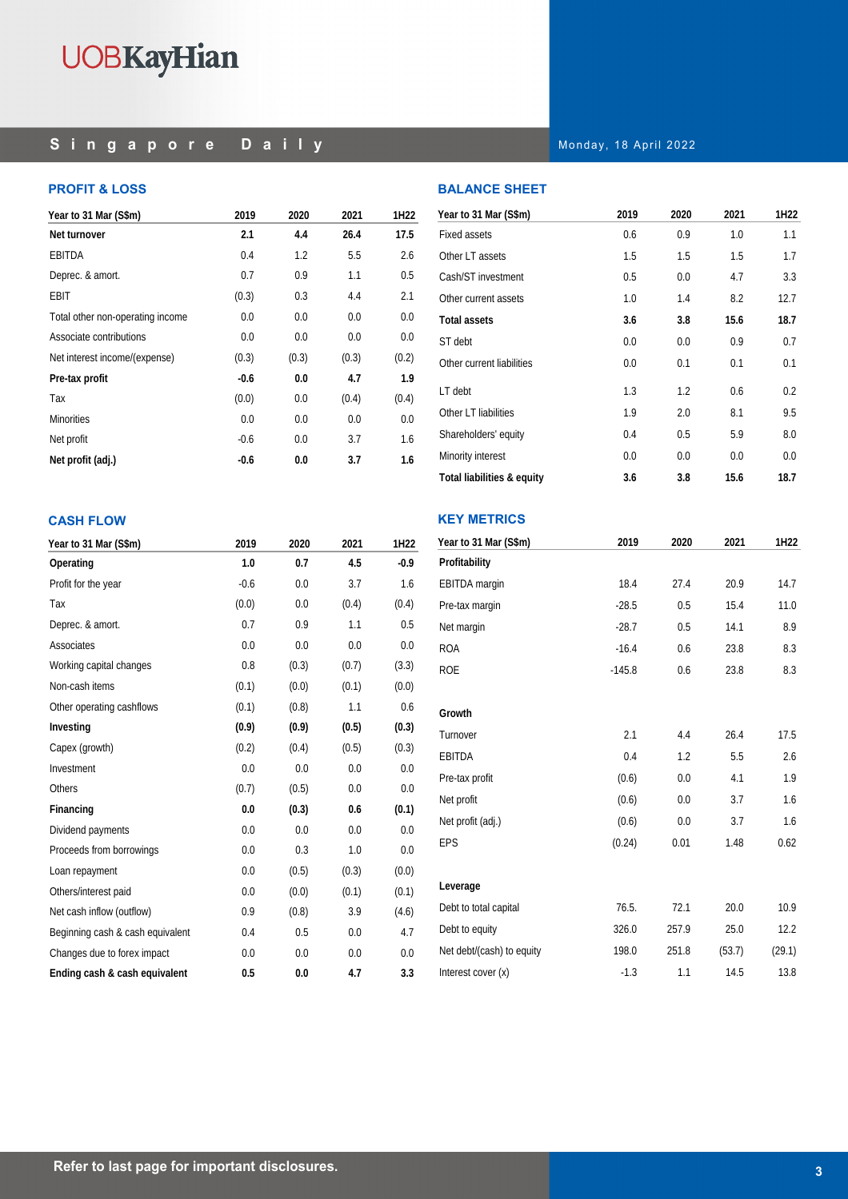## **Singapore Daily**

## **PROFIT & LOSS**

| Year to 31 Mar (S\$m)            | 2019   | 2020  | 2021  | 1H22  |
|----------------------------------|--------|-------|-------|-------|
| Net turnover                     | 2.1    | 4.4   | 26.4  | 17.5  |
| EBITDA                           | 0.4    | 1.2   | 5.5   | 2.6   |
| Deprec. & amort.                 | 0.7    | 0.9   | 1.1   | 0.5   |
| <b>EBIT</b>                      | (0.3)  | 0.3   | 4.4   | 2.1   |
| Total other non-operating income | 0.0    | 0.0   | 0.0   | 0.0   |
| Associate contributions          | 0.0    | 0.0   | 0.0   | 0.0   |
| Net interest income/(expense)    | (0.3)  | (0.3) | (0.3) | (0.2) |
| Pre-tax profit                   | -0.6   | 0.0   | 4.7   | 1.9   |
| Tax                              | (0.0)  | 0.0   | (0.4) | (0.4) |
| <b>Minorities</b>                | 0.0    | 0.0   | 0.0   | 0.0   |
| Net profit                       | $-0.6$ | 0.0   | 3.7   | 1.6   |
| Net profit (adj.)                | -0.6   | 0.0   | 3.7   | 1.6   |

Monday, 18 April 2022

## **BALANCE SHEET**

| Year to 31 Mar (S\$m)      | 2019 | 2020 | 2021 | 1H22 |
|----------------------------|------|------|------|------|
| <b>Fixed assets</b>        | 0.6  | 0.9  | 1.0  | 1.1  |
| Other LT assets            | 1.5  | 1.5  | 1.5  | 1.7  |
| Cash/ST investment         | 0.5  | 0.0  | 4.7  | 3.3  |
| Other current assets       | 1.0  | 1.4  | 8.2  | 12.7 |
| <b>Total assets</b>        | 3.6  | 3.8  | 15.6 | 18.7 |
| ST debt                    | 0.0  | 0.0  | 0.9  | 0.7  |
| Other current liabilities  | 0.0  | 0.1  | 0.1  | 0.1  |
| LT debt                    | 1.3  | 1.2  | 0.6  | 0.2  |
| Other LT liabilities       | 1.9  | 2.0  | 8.1  | 9.5  |
| Shareholders' equity       | 0.4  | 0.5  | 5.9  | 8.0  |
| Minority interest          | 0.0  | 0.0  | 0.0  | 0.0  |
| Total liabilities & equity | 3.6  | 3.8  | 15.6 | 18.7 |

## **KEY METRICS**

| Year to 31 Mar (S\$m)     | 2019     | 2020  | 2021   | 1H22   |
|---------------------------|----------|-------|--------|--------|
| Profitability             |          |       |        |        |
| EBITDA margin             | 18.4     | 27.4  | 20.9   | 14.7   |
| Pre-tax margin            | $-28.5$  | 0.5   | 15.4   | 11.0   |
| Net margin                | $-28.7$  | 0.5   | 14.1   | 8.9    |
| <b>ROA</b>                | $-16.4$  | 0.6   | 23.8   | 8.3    |
| <b>ROE</b>                | $-145.8$ | 0.6   | 23.8   | 8.3    |
| Growth                    |          |       |        |        |
| Turnover                  | 2.1      | 4.4   | 26.4   | 17.5   |
| EBITDA                    | 0.4      | 1.2   | 5.5    | 2.6    |
| Pre-tax profit            | (0.6)    | 0.0   | 4.1    | 1.9    |
| Net profit                | (0.6)    | 0.0   | 3.7    | 1.6    |
| Net profit (adj.)         | (0.6)    | 0.0   | 3.7    | 1.6    |
| EPS                       | (0.24)   | 0.01  | 1.48   | 0.62   |
| Leverage                  |          |       |        |        |
| Debt to total capital     | 76.5.    | 72.1  | 20.0   | 10.9   |
| Debt to equity            | 326.0    | 257.9 | 25.0   | 12.2   |
| Net debt/(cash) to equity | 198.0    | 251.8 | (53.7) | (29.1) |
| Interest cover (x)        | $-1.3$   | 1.1   | 14.5   | 13.8   |

## **CASH FLOW**

| Year to 31 Mar (S\$m)            | 2019   | 2020  | 2021  | 1H22   |
|----------------------------------|--------|-------|-------|--------|
| Operating                        | 1.0    | 0.7   | 4.5   | $-0.9$ |
| Profit for the year              | $-0.6$ | 0.0   | 3.7   | 1.6    |
| Tax                              | (0.0)  | 0.0   | (0.4) | (0.4)  |
| Deprec. & amort.                 | 0.7    | 0.9   | 1.1   | 0.5    |
| Associates                       | 0.0    | 0.0   | 0.0   | 0.0    |
| Working capital changes          | 0.8    | (0.3) | (0.7) | (3.3)  |
| Non-cash items                   | (0.1)  | (0.0) | (0.1) | (0.0)  |
| Other operating cashflows        | (0.1)  | (0.8) | 1.1   | 0.6    |
| Investing                        | (0.9)  | (0.9) | (0.5) | (0.3)  |
| Capex (growth)                   | (0.2)  | (0.4) | (0.5) | (0.3)  |
| Investment                       | 0.0    | 0.0   | 0.0   | 0.0    |
| <b>Others</b>                    | (0.7)  | (0.5) | 0.0   | 0.0    |
| Financing                        | 0.0    | (0.3) | 0.6   | (0.1)  |
| Dividend payments                | 0.0    | 0.0   | 0.0   | 0.0    |
| Proceeds from borrowings         | 0.0    | 0.3   | 1.0   | 0.0    |
| Loan repayment                   | 0.0    | (0.5) | (0.3) | (0.0)  |
| Others/interest paid             | 0.0    | (0.0) | (0.1) | (0.1)  |
| Net cash inflow (outflow)        | 0.9    | (0.8) | 3.9   | (4.6)  |
| Beginning cash & cash equivalent | 0.4    | 0.5   | 0.0   | 4.7    |
| Changes due to forex impact      | 0.0    | 0.0   | 0.0   | 0.0    |
| Ending cash & cash equivalent    | 0.5    | 0.0   | 4.7   | 3.3    |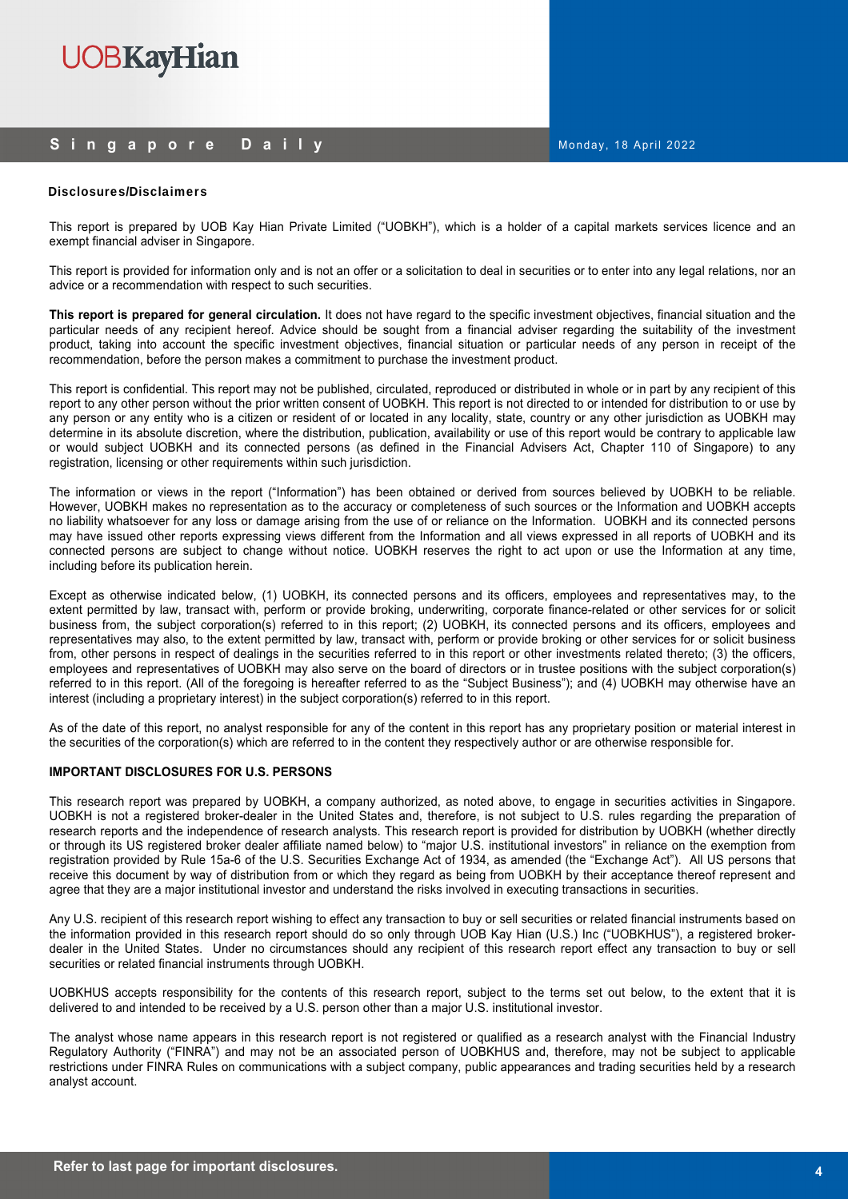## **Singapore Daily**

## Disclosures/Disclaimers

This report is prepared by UOB Kay Hian Private Limited ("UOBKH"), which is a holder of a capital markets services licence and an exempt financial adviser in Singapore.

This report is provided for information only and is not an offer or a solicitation to deal in securities or to enter into any legal relations, nor an advice or a recommendation with respect to such securities.

**This report is prepared for general circulation.** It does not have regard to the specific investment objectives, financial situation and the particular needs of any recipient hereof. Advice should be sought from a financial adviser regarding the suitability of the investment product, taking into account the specific investment objectives, financial situation or particular needs of any person in receipt of the recommendation, before the person makes a commitment to purchase the investment product.

This report is confidential. This report may not be published, circulated, reproduced or distributed in whole or in part by any recipient of this report to any other person without the prior written consent of UOBKH. This report is not directed to or intended for distribution to or use by any person or any entity who is a citizen or resident of or located in any locality, state, country or any other jurisdiction as UOBKH may determine in its absolute discretion, where the distribution, publication, availability or use of this report would be contrary to applicable law or would subject UOBKH and its connected persons (as defined in the Financial Advisers Act, Chapter 110 of Singapore) to any registration, licensing or other requirements within such jurisdiction.

The information or views in the report ("Information") has been obtained or derived from sources believed by UOBKH to be reliable. However, UOBKH makes no representation as to the accuracy or completeness of such sources or the Information and UOBKH accepts no liability whatsoever for any loss or damage arising from the use of or reliance on the Information. UOBKH and its connected persons may have issued other reports expressing views different from the Information and all views expressed in all reports of UOBKH and its connected persons are subject to change without notice. UOBKH reserves the right to act upon or use the Information at any time, including before its publication herein.

Except as otherwise indicated below, (1) UOBKH, its connected persons and its officers, employees and representatives may, to the extent permitted by law, transact with, perform or provide broking, underwriting, corporate finance-related or other services for or solicit business from, the subject corporation(s) referred to in this report; (2) UOBKH, its connected persons and its officers, employees and representatives may also, to the extent permitted by law, transact with, perform or provide broking or other services for or solicit business from, other persons in respect of dealings in the securities referred to in this report or other investments related thereto; (3) the officers, employees and representatives of UOBKH may also serve on the board of directors or in trustee positions with the subject corporation(s) referred to in this report. (All of the foregoing is hereafter referred to as the "Subject Business"); and (4) UOBKH may otherwise have an interest (including a proprietary interest) in the subject corporation(s) referred to in this report.

As of the date of this report, no analyst responsible for any of the content in this report has any proprietary position or material interest in the securities of the corporation(s) which are referred to in the content they respectively author or are otherwise responsible for.

## **IMPORTANT DISCLOSURES FOR U.S. PERSONS**

This research report was prepared by UOBKH, a company authorized, as noted above, to engage in securities activities in Singapore. UOBKH is not a registered broker-dealer in the United States and, therefore, is not subject to U.S. rules regarding the preparation of research reports and the independence of research analysts. This research report is provided for distribution by UOBKH (whether directly or through its US registered broker dealer affiliate named below) to "major U.S. institutional investors" in reliance on the exemption from registration provided by Rule 15a-6 of the U.S. Securities Exchange Act of 1934, as amended (the "Exchange Act"). All US persons that receive this document by way of distribution from or which they regard as being from UOBKH by their acceptance thereof represent and agree that they are a major institutional investor and understand the risks involved in executing transactions in securities.

Any U.S. recipient of this research report wishing to effect any transaction to buy or sell securities or related financial instruments based on the information provided in this research report should do so only through UOB Kay Hian (U.S.) Inc ("UOBKHUS"), a registered brokerdealer in the United States. Under no circumstances should any recipient of this research report effect any transaction to buy or sell securities or related financial instruments through UOBKH.

UOBKHUS accepts responsibility for the contents of this research report, subject to the terms set out below, to the extent that it is delivered to and intended to be received by a U.S. person other than a major U.S. institutional investor.

The analyst whose name appears in this research report is not registered or qualified as a research analyst with the Financial Industry Regulatory Authority ("FINRA") and may not be an associated person of UOBKHUS and, therefore, may not be subject to applicable restrictions under FINRA Rules on communications with a subject company, public appearances and trading securities held by a research analyst account.